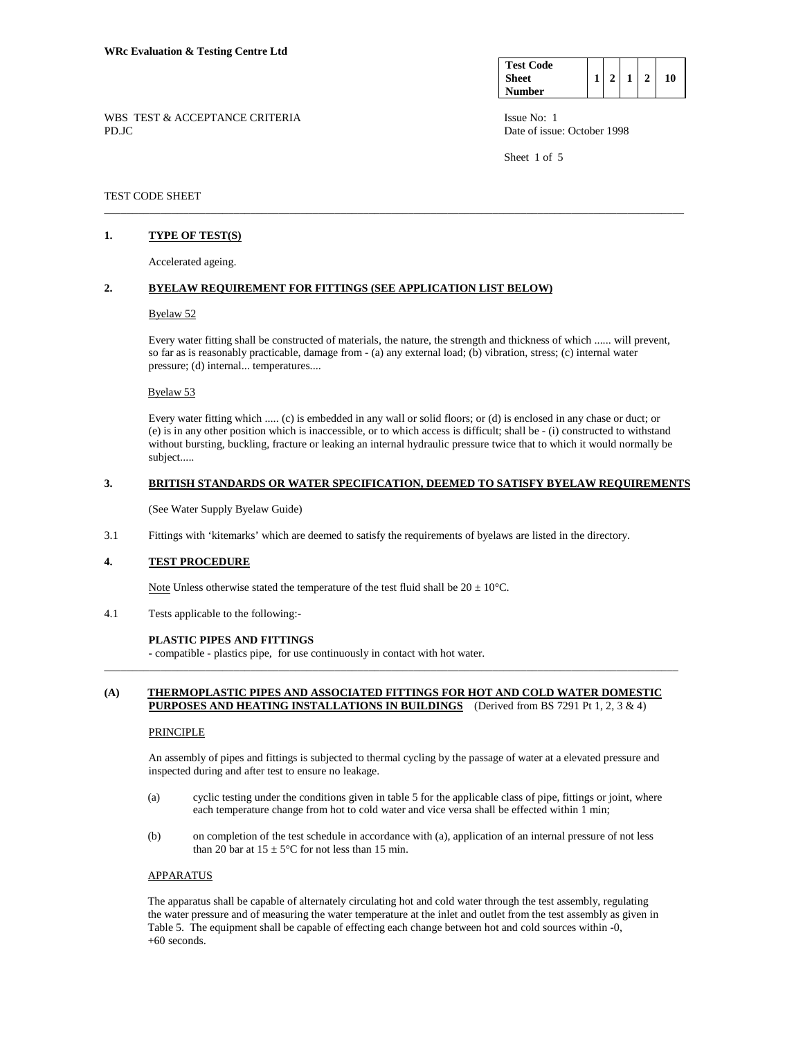| <b>Test Code</b> |  |  |    |
|------------------|--|--|----|
| Sheet            |  |  | 10 |
| Number           |  |  |    |

Sheet 1 of 5

WBS TEST & ACCEPTANCE CRITERIA ISSUE No: 1 PD.JC Date of issue: October 1998

## TEST CODE SHEET

## **1. TYPE OF TEST(S)**

Accelerated ageing.

## **2. BYELAW REQUIREMENT FOR FITTINGS (SEE APPLICATION LIST BELOW)**

#### Byelaw 52

Every water fitting shall be constructed of materials, the nature, the strength and thickness of which ...... will prevent, so far as is reasonably practicable, damage from - (a) any external load; (b) vibration, stress; (c) internal water pressure; (d) internal... temperatures....

\_\_\_\_\_\_\_\_\_\_\_\_\_\_\_\_\_\_\_\_\_\_\_\_\_\_\_\_\_\_\_\_\_\_\_\_\_\_\_\_\_\_\_\_\_\_\_\_\_\_\_\_\_\_\_\_\_\_\_\_\_\_\_\_\_\_\_\_\_\_\_\_\_\_\_\_\_\_\_\_\_\_\_\_\_\_\_\_\_\_\_\_\_\_\_\_\_\_\_\_\_\_\_

#### Byelaw 53

 Every water fitting which ..... (c) is embedded in any wall or solid floors; or (d) is enclosed in any chase or duct; or (e) is in any other position which is inaccessible, or to which access is difficult; shall be - (i) constructed to withstand without bursting, buckling, fracture or leaking an internal hydraulic pressure twice that to which it would normally be subject.....

### **3. BRITISH STANDARDS OR WATER SPECIFICATION, DEEMED TO SATISFY BYELAW REQUIREMENTS**

(See Water Supply Byelaw Guide)

3.1 Fittings with 'kitemarks' which are deemed to satisfy the requirements of byelaws are listed in the directory.

### **4. TEST PROCEDURE**

Note Unless otherwise stated the temperature of the test fluid shall be  $20 \pm 10^{\circ}$ C.

4.1 Tests applicable to the following:-

#### **PLASTIC PIPES AND FITTINGS**

 **-** compatible - plastics pipe, for use continuously in contact with hot water.

## **(A) THERMOPLASTIC PIPES AND ASSOCIATED FITTINGS FOR HOT AND COLD WATER DOMESTIC PURPOSES AND HEATING INSTALLATIONS IN BUILDINGS** (Derived from BS 7291 Pt 1, 2, 3 & 4)

\_\_\_\_\_\_\_\_\_\_\_\_\_\_\_\_\_\_\_\_\_\_\_\_\_\_\_\_\_\_\_\_\_\_\_\_\_\_\_\_\_\_\_\_\_\_\_\_\_\_\_\_\_\_\_\_\_\_\_\_\_\_\_\_\_\_\_\_\_\_\_\_\_\_\_\_\_\_\_\_\_\_\_\_\_\_\_\_\_\_\_\_\_\_\_\_\_\_\_\_\_\_

## **PRINCIPLE**

 An assembly of pipes and fittings is subjected to thermal cycling by the passage of water at a elevated pressure and inspected during and after test to ensure no leakage.

- (a) cyclic testing under the conditions given in table 5 for the applicable class of pipe, fittings or joint, where each temperature change from hot to cold water and vice versa shall be effected within 1 min;
- (b) on completion of the test schedule in accordance with (a), application of an internal pressure of not less than 20 bar at  $15 \pm 5^{\circ}$ C for not less than 15 min.

#### APPARATUS

 The apparatus shall be capable of alternately circulating hot and cold water through the test assembly, regulating the water pressure and of measuring the water temperature at the inlet and outlet from the test assembly as given in Table 5. The equipment shall be capable of effecting each change between hot and cold sources within -0, +60 seconds.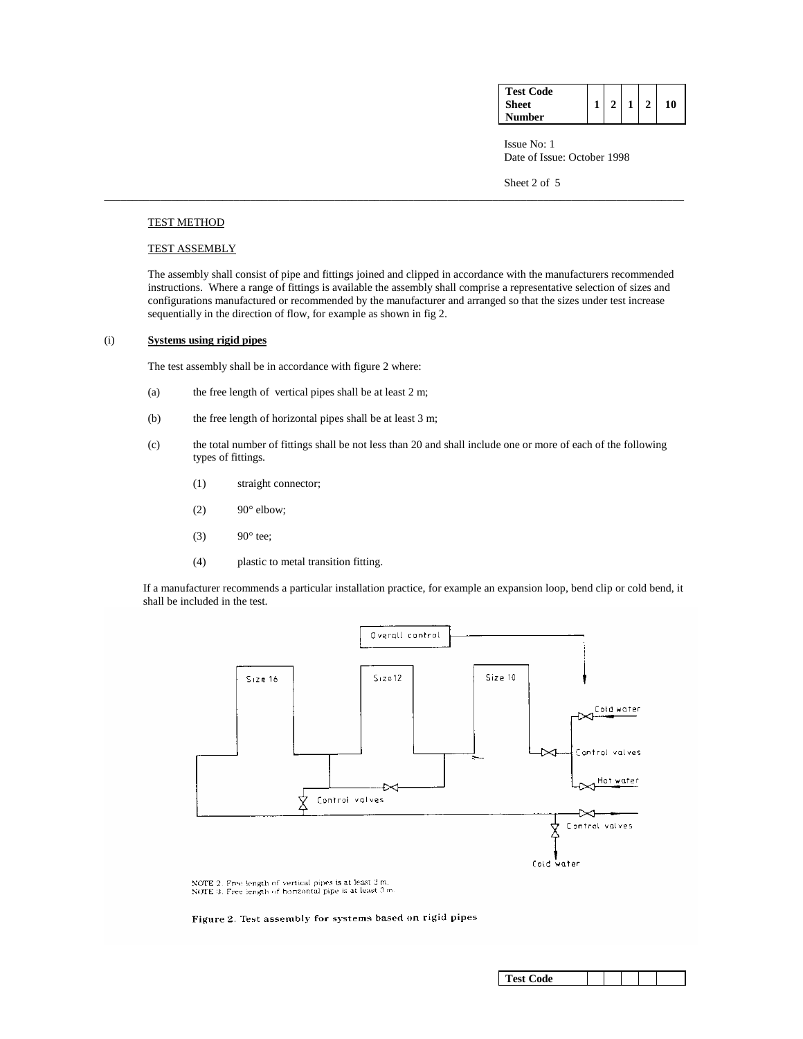| <b>Test Code</b> |                |                |              |    |
|------------------|----------------|----------------|--------------|----|
| <b>Sheet</b>     | 2 <sub>1</sub> | 1 <sup>1</sup> | $\mathbf{2}$ | 10 |
| Number           |                |                |              |    |

**ISSUE No: 1** Date of Issue: October 1998

Sheet 2 of 5

## TEST METHOD

## TEST ASSEMBLY

 The assembly shall consist of pipe and fittings joined and clipped in accordance with the manufacturers recommended instructions. Where a range of fittings is available the assembly shall comprise a representative selection of sizes and configurations manufactured or recommended by the manufacturer and arranged so that the sizes under test increase sequentially in the direction of flow, for example as shown in fig 2.

\_\_\_\_\_\_\_\_\_\_\_\_\_\_\_\_\_\_\_\_\_\_\_\_\_\_\_\_\_\_\_\_\_\_\_\_\_\_\_\_\_\_\_\_\_\_\_\_\_\_\_\_\_\_\_\_\_\_\_\_\_\_\_\_\_\_\_\_\_\_\_\_\_\_\_\_\_\_\_\_\_\_\_\_\_\_\_\_\_\_\_\_\_\_\_\_\_\_\_\_\_\_\_

## (i) **Systems using rigid pipes**

The test assembly shall be in accordance with figure 2 where:

- (a) the free length of vertical pipes shall be at least 2 m;
- (b) the free length of horizontal pipes shall be at least 3 m;
- (c) the total number of fittings shall be not less than 20 and shall include one or more of each of the following types of fittings.
	- (1) straight connector;
	- $(2)$  90° elbow;
	- (3)  $90^\circ$  tee;
	- (4) plastic to metal transition fitting.

 If a manufacturer recommends a particular installation practice, for example an expansion loop, bend clip or cold bend, it shall be included in the test.



NOTE 2. Free length of vertical pipes is at least  $2 \text{ m}$ .<br>NOTE 3. Free length of horizontal pipe is at least  $3 \text{ m}$ 

Figure 2. Test assembly for systems based on rigid pipes

| <b>Test Code</b> |
|------------------|
|------------------|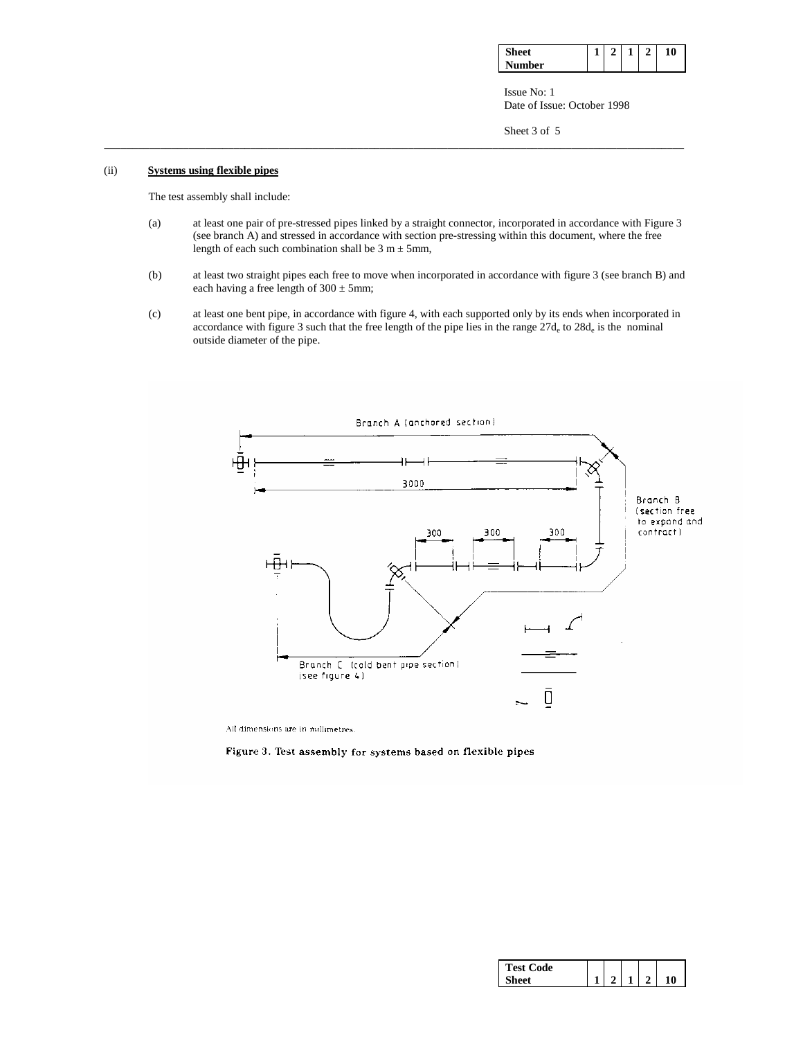| $\mathbf{C}$<br>eet |  | - | 10 |
|---------------------|--|---|----|
| Number              |  |   |    |

**ISSUE No: 1** Date of Issue: October 1998

Sheet 3 of 5

## (ii) **Systems using flexible pipes**

The test assembly shall include:

 (a) at least one pair of pre-stressed pipes linked by a straight connector, incorporated in accordance with Figure 3 (see branch A) and stressed in accordance with section pre-stressing within this document, where the free length of each such combination shall be  $3 m \pm 5 mm$ ,

\_\_\_\_\_\_\_\_\_\_\_\_\_\_\_\_\_\_\_\_\_\_\_\_\_\_\_\_\_\_\_\_\_\_\_\_\_\_\_\_\_\_\_\_\_\_\_\_\_\_\_\_\_\_\_\_\_\_\_\_\_\_\_\_\_\_\_\_\_\_\_\_\_\_\_\_\_\_\_\_\_\_\_\_\_\_\_\_\_\_\_\_\_\_\_\_\_\_\_\_\_\_\_

- (b) at least two straight pipes each free to move when incorporated in accordance with figure 3 (see branch B) and each having a free length of  $300 \pm 5$ mm;
- (c) at least one bent pipe, in accordance with figure 4, with each supported only by its ends when incorporated in accordance with figure 3 such that the free length of the pipe lies in the range 27d<sub>e</sub> to 28d<sub>e</sub> is the nominal outside diameter of the pipe.



All dimensions are in millimetres.

Figure 3. Test assembly for systems based on flexible pipes

| <b>Test Code</b> |  |  |   |
|------------------|--|--|---|
|                  |  |  | 0 |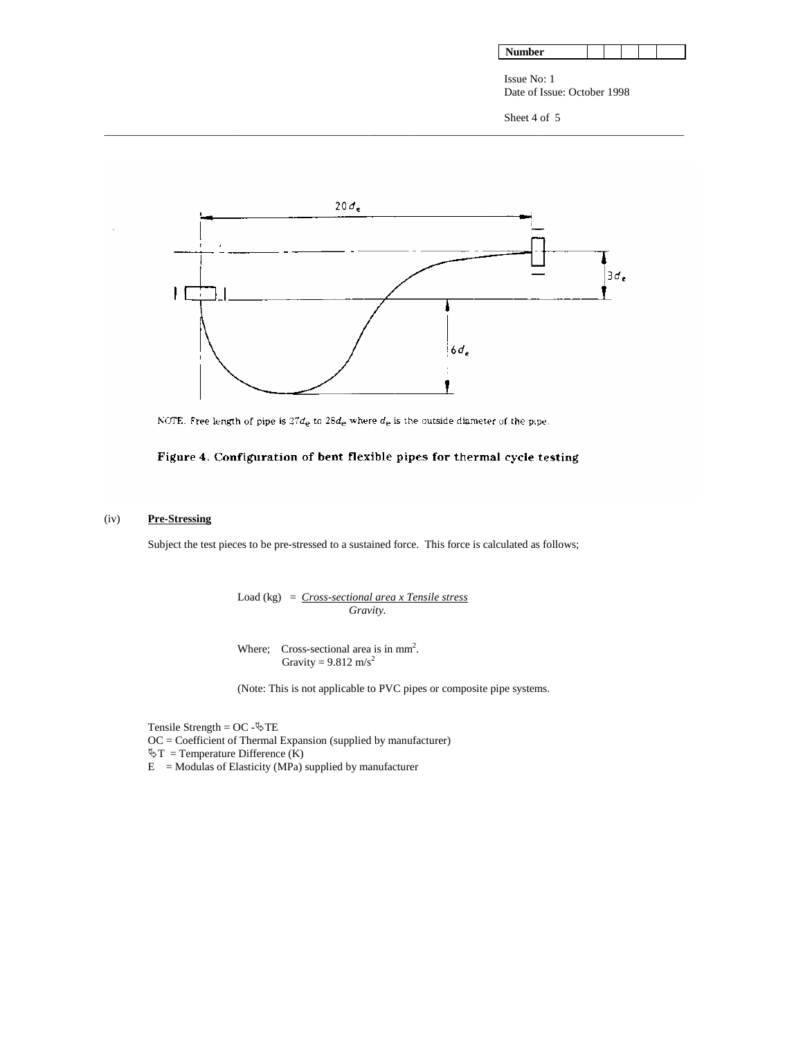| Number |  |  |  |  |  |
|--------|--|--|--|--|--|
|--------|--|--|--|--|--|

Issue No: 1 Date of Issue: October 1998

Sheet 4 of 5



\_\_\_\_\_\_\_\_\_\_\_\_\_\_\_\_\_\_\_\_\_\_\_\_\_\_\_\_\_\_\_\_\_\_\_\_\_\_\_\_\_\_\_\_\_\_\_\_\_\_\_\_\_\_\_\_\_\_\_\_\_\_\_\_\_\_\_\_\_\_\_\_\_\_\_\_\_\_\_\_\_\_\_\_\_\_\_\_\_\_\_\_\_\_\_\_\_\_\_\_\_\_\_

NOTE. Free length of pipe is  $27d_e$  to  $28d_e$  where  $d_e$  is the outside diameter of the pipe.

# Figure 4. Configuration of bent flexible pipes for thermal cycle testing

# (iv) **Pre-Stressing**

Subject the test pieces to be pre-stressed to a sustained force. This force is calculated as follows;

 Load (kg) = *Cross-sectional area x Tensile stress Gravity.* 

Where; Cross-sectional area is in  $mm<sup>2</sup>$ . Gravity =  $9.812 \text{ m/s}^2$ 

(Note: This is not applicable to PVC pipes or composite pipe systems.

Tensile Strength =  $OC - \S$ TE

OC = Coefficient of Thermal Expansion (supplied by manufacturer)

 $\Im T$  = Temperature Difference (K)

 $E =$  Modulas of Elasticity (MPa) supplied by manufacturer